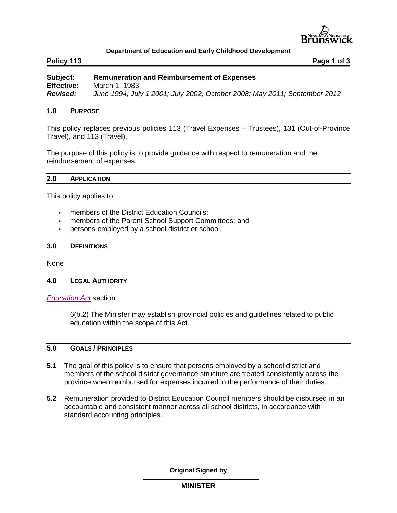

## **Department of Education and Early Childhood Development**

**Policy 113 Page 1 of 3**

| Subject:          | <b>Remuneration and Reimbursement of Expenses</b>                         |
|-------------------|---------------------------------------------------------------------------|
| <b>Effective:</b> | March 1, 1983                                                             |
| <b>Revised:</b>   | June 1994; July 1 2001; July 2002; October 2008; May 2011; September 2012 |

## **1.0 PURPOSE**

This policy replaces previous policies 113 (Travel Expenses – Trustees), 131 (Out-of-Province Travel), and 113 (Travel).

The purpose of this policy is to provide guidance with respect to remuneration and the reimbursement of expenses.

### **2.0 APPLICATION**

This policy applies to:

- **Fulle** members of the District Education Councils:
- members of the Parent School Support Committees; and
- **persons employed by a school district or school.**

### **3.0 DEFINITIONS**

None

### **4.0 LEGAL AUTHORITY**

*[Education Act](http://laws.gnb.ca/en/ShowPdf/cs/E-1.12.pdf)* section

6(b.2) The Minister may establish provincial policies and guidelines related to public education within the scope of this Act.

## **5.0 GOALS / PRINCIPLES**

- **5.1** The goal of this policy is to ensure that persons employed by a school district and members of the school district governance structure are treated consistently across the province when reimbursed for expenses incurred in the performance of their duties.
- **5.2** Remuneration provided to District Education Council members should be disbursed in an accountable and consistent manner across all school districts, in accordance with standard accounting principles.

**Original Signed by**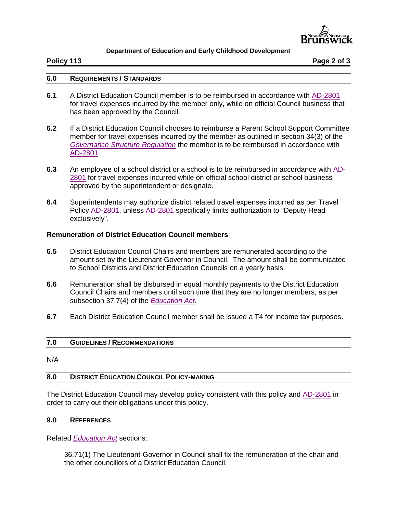

## **Department of Education and Early Childhood Development**

**Policy 113 Page 2 of 3**

## **6.0 REQUIREMENTS / STANDARDS**

- **6.1** A District Education Council member is to be reimbursed in accordance with [AD-2801](http://intranet.gnb.ca/intellinet/adminman/adminman/2801-e.asp) for travel expenses incurred by the member only, while on official Council business that has been approved by the Council.
- **6.2** If a District Education Council chooses to reimburse a Parent School Support Committee member for travel expenses incurred by the member as outlined in section 34(3) of the *[Governance Structure Regulation](http://laws.gnb.ca/en/ShowPdf/cr/2001-48.pdf)* the member is to be reimbursed in accordance with [AD-2801.](http://intranet.gnb.ca/intellinet/adminman/adminman/2801-e.asp)
- **6.3** An employee of a school district or a school is to be reimbursed in accordance with [AD-](http://intranet.gnb.ca/intellinet/adminman/adminman/2801-e.asp)[2801](http://intranet.gnb.ca/intellinet/adminman/adminman/2801-e.asp) for travel expenses incurred while on official school district or school business approved by the superintendent or designate.
- **6.4** Superintendents may authorize district related travel expenses incurred as per Travel Policy [AD-2801,](http://intranet.gnb.ca/intellinet/adminman/adminman/2801-e.asp) unless [AD-2801](http://intranet.gnb.ca/intellinet/adminman/adminman/2801-e.asp) specifically limits authorization to "Deputy Head exclusively".

# **Remuneration of District Education Council members**

- **6.5** District Education Council Chairs and members are remunerated according to the amount set by the Lieutenant Governor in Council. The amount shall be communicated to School Districts and District Education Councils on a yearly basis.
- **6.6** Remuneration shall be disbursed in equal monthly payments to the District Education Council Chairs and members until such time that they are no longer members, as per subsection 37.7(4) of the *[Education Act.](http://laws.gnb.ca/en/ShowPdf/cs/E-1.12.pdf)*
- **6.7** Each District Education Council member shall be issued a T4 for income tax purposes.

# **7.0 GUIDELINES / RECOMMENDATIONS**

N/A

### **8.0 DISTRICT EDUCATION COUNCIL POLICY-MAKING**

The District Education Council may develop policy consistent with this policy and [AD-2801](http://intranet.gnb.ca/intellinet/adminman/adminman/2801-e.asp) in order to carry out their obligations under this policy.

# **9.0 REFERENCES**

Related *[Education Act](http://laws.gnb.ca/en/ShowPdf/cs/E-1.12.pdf)* sections:

36.71(1) The Lieutenant-Governor in Council shall fix the remuneration of the chair and the other councillors of a District Education Council.